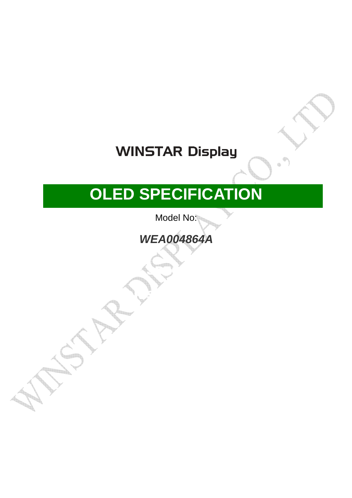# **WINSTAR Display**

# **OLED SPECIFICATION**

Model No:

**WEA004864A** 

■APPROVAL FOR SPECIFICATIONS ONLY

□APPROVAL FOR SPECIFICATIONS AND

SAMPLE ( )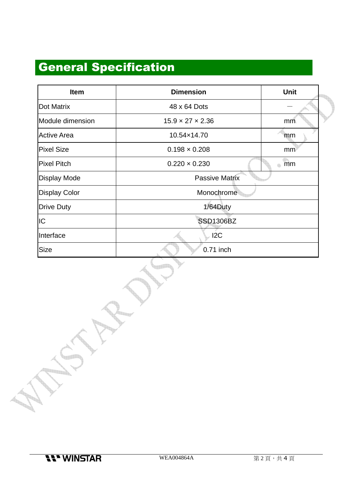## General Specification

| <b>Item</b>          | <b>Dimension</b>             | <b>Unit</b> |  |
|----------------------|------------------------------|-------------|--|
| <b>Dot Matrix</b>    | 48 x 64 Dots                 |             |  |
| Module dimension     | $15.9 \times 27 \times 2.36$ | mm          |  |
| <b>Active Area</b>   | 10.54×14.70                  | mm          |  |
| <b>Pixel Size</b>    | $0.198 \times 0.208$         | mm          |  |
| <b>Pixel Pitch</b>   | $0.220 \times 0.230$         | mm<br>4     |  |
| <b>Display Mode</b>  | Passive Matrix               |             |  |
| <b>Display Color</b> | Monochrome                   |             |  |
| <b>Drive Duty</b>    | 1/64Duty                     |             |  |
| IC                   | <b>SSD1306BZ</b>             |             |  |
| Interface            | 12C                          |             |  |
| Size                 | 0.71 inch                    |             |  |

<u>The S</u>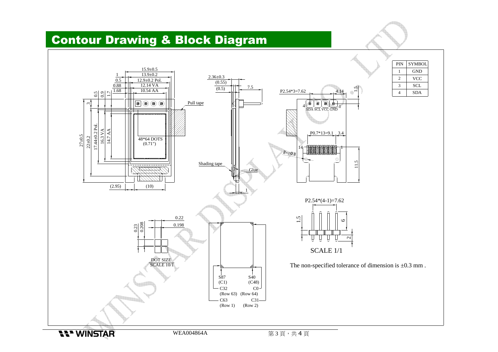#### Contour Drawing & Block Diagram